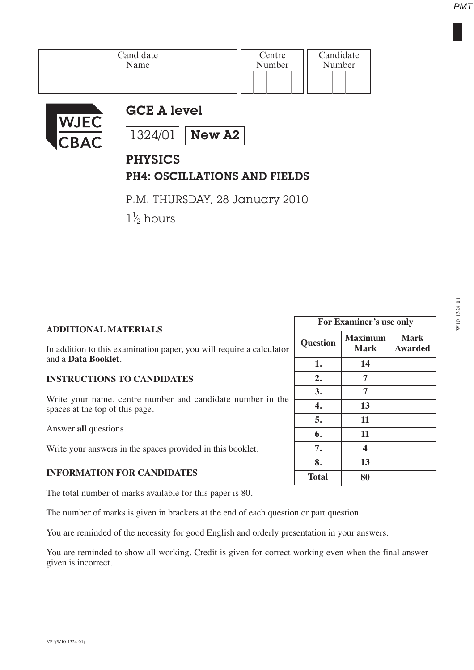| Candidate | Centre | Candidate |
|-----------|--------|-----------|
| Name      | Number | Number    |
|           |        |           |



## GCE A level

 $\overline{13}24/01$  New A2

## PHYSICS PH4: OSCILLATIONS AND FIELDS

P.M. THURSDAY, 28 January 2010  $1\frac{1}{2}$  hours ⁄

| <b>ADDITIONAL MATERIALS</b><br>In addition to this examination paper, you will require a calculator | For Examiner's use only |                               |                               |
|-----------------------------------------------------------------------------------------------------|-------------------------|-------------------------------|-------------------------------|
|                                                                                                     | <b>Question</b>         | <b>Maximum</b><br><b>Mark</b> | <b>Mark</b><br><b>Awarded</b> |
| and a Data Booklet.                                                                                 | 1.                      | 14                            |                               |
| <b>INSTRUCTIONS TO CANDIDATES</b>                                                                   | 2.                      | 7                             |                               |
|                                                                                                     | 3.                      | 7                             |                               |
| Write your name, centre number and candidate number in the<br>spaces at the top of this page.       | 4.                      | 13                            |                               |
|                                                                                                     | 5.                      | <b>11</b>                     |                               |
| Answer all questions.                                                                               | 6.                      | 11                            |                               |
| Write your answers in the spaces provided in this booklet.                                          | 7.                      | $\boldsymbol{4}$              |                               |
|                                                                                                     | 8.                      | 13                            |                               |
| <b>INFORMATION FOR CANDIDATES</b>                                                                   | <b>Total</b>            | 80                            |                               |

The total number of marks available for this paper is 80.

The number of marks is given in brackets at the end of each question or part question.

You are reminded of the necessity for good English and orderly presentation in your answers.

You are reminded to show all working. Credit is given for correct working even when the final answer given is incorrect.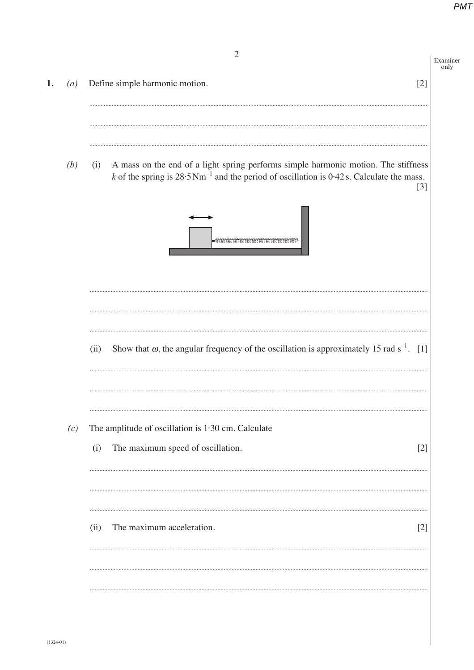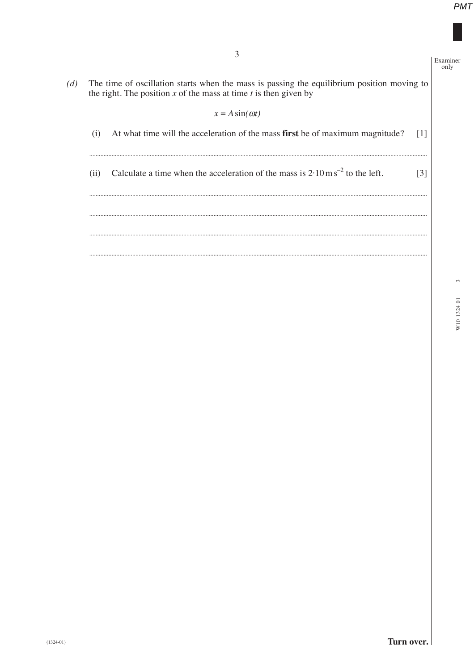Examiner  $\overline{only}$ 

 $(d)$ The time of oscillation starts when the mass is passing the equilibrium position moving to the right. The position  $x$  of the mass at time  $t$  is then given by

```
x = A \sin(\omega t)
```
(i) At what time will the acceleration of the mass first be of maximum magnitude?  $[1]$ 

(ii) Calculate a time when the acceleration of the mass is  $2.10 \text{ m s}^{-2}$  to the left.  $[3]$ 

 $\infty$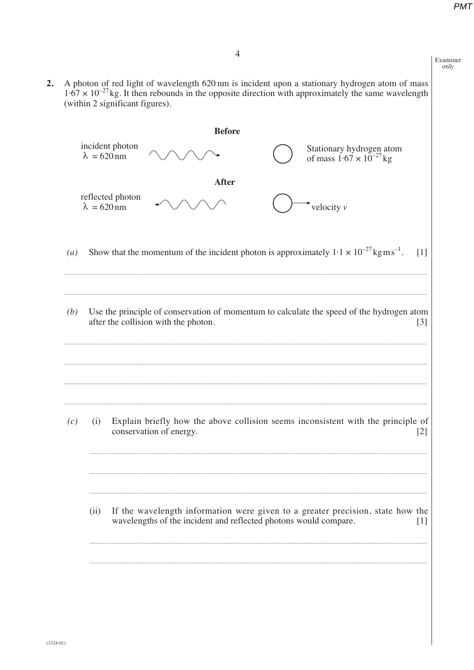Examiner only

A photon of red light of wavelength 620 nm is incident upon a stationary hydrogen atom of mass  $2.$  $1.67 \times 10^{-27}$  kg. It then rebounds in the opposite direction with approximately the same wavelength (within 2 significant figures).

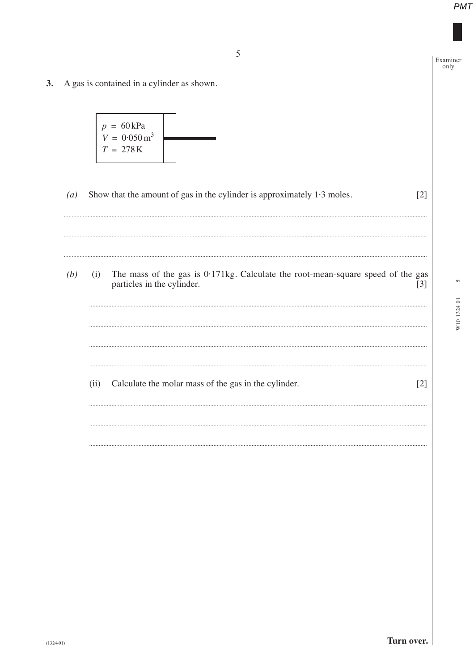Examiner only

 $[2]$ 

A gas is contained in a cylinder as shown.  $3.$ 

| $p = 60 \text{ kPa}$       |  |
|----------------------------|--|
| $V = 0.050 \,\mathrm{m}^3$ |  |
| $T = 278 \text{ K}$        |  |
|                            |  |

Show that the amount of gas in the cylinder is approximately  $1.3$  moles.  $\left(a\right)$ 

 $(b)$ The mass of the gas is  $0.171\text{kg}$ . Calculate the root-mean-square speed of the gas  $(i)$ particles in the cylinder.  $\lceil 3 \rceil$  $[2]$ (ii) Calculate the molar mass of the gas in the cylinder. 

 $\sqrt{2}$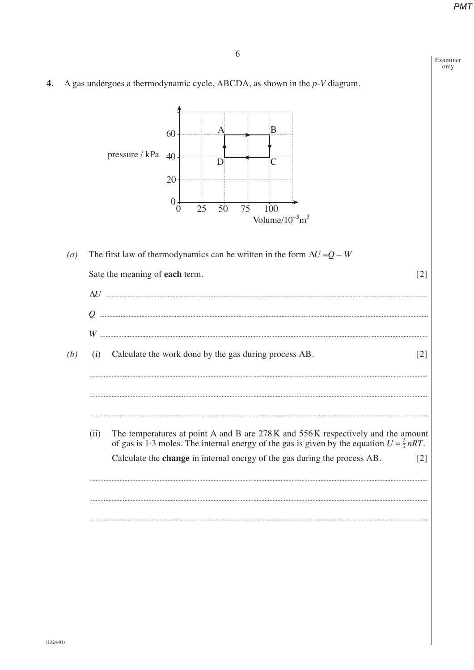Examiner only



4. A gas undergoes a thermodynamic cycle, ABCDA, as shown in the  $p$ -V diagram.

B 60 pressure /  $kPa$  40 D  $\overline{C}$  $20$  $\overline{0}$  $25$  $\overline{50}$  $7\overline{5}$  $100$  $\overline{0}$ Volume/ $10^{-3}$ m<sup>3</sup> The first law of thermodynamics can be written in the form  $\Delta U = Q - W$  $(a)$ Sate the meaning of **each** term.  $\lceil 2 \rceil$  $(b)$ Calculate the work done by the gas during process AB.  $(i)$  $\lceil 2 \rceil$  $(ii)$ The temperatures at point A and B are 278K and 556K respectively and the amount of gas is 1.3 moles. The internal energy of the gas is given by the equation  $U = \frac{3}{2} nRT$ . Calculate the change in internal energy of the gas during the process AB.  $\lceil 2 \rceil$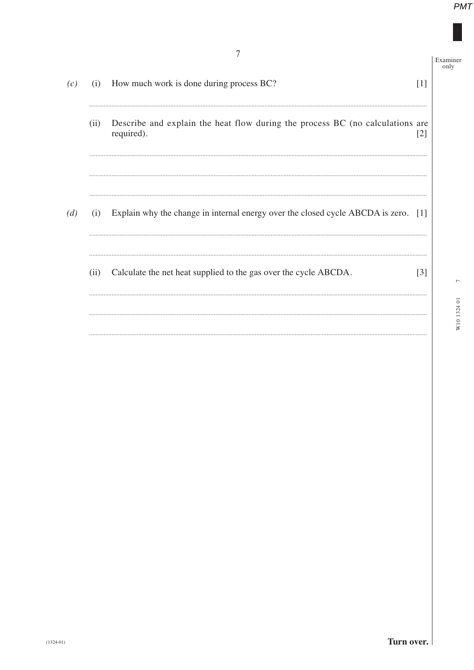$\overline{a}$ 

W10 1324 01

Turn over.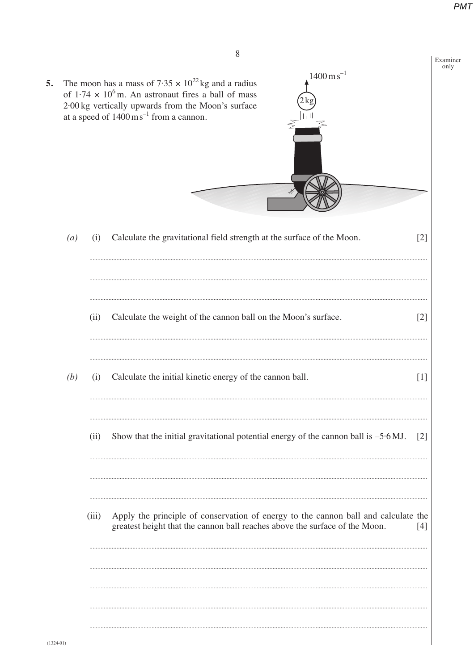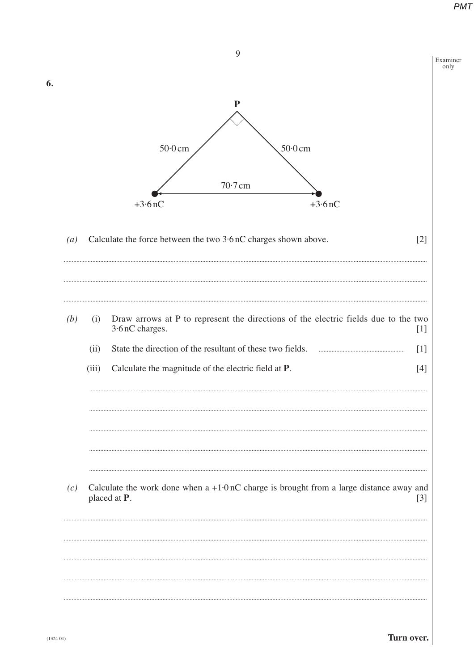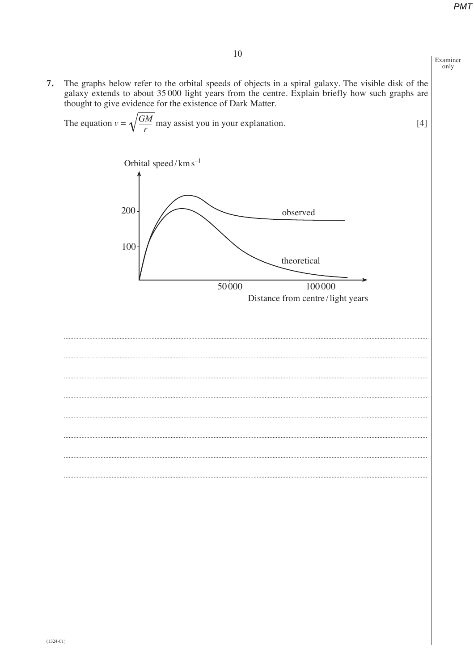Examiner only

7. The graphs below refer to the orbital speeds of objects in a spiral galaxy. The visible disk of the galaxy extends to about 35 000 light years from the centre. Explain briefly how such graphs are thought to give evidence for the existence of Dark Matter.

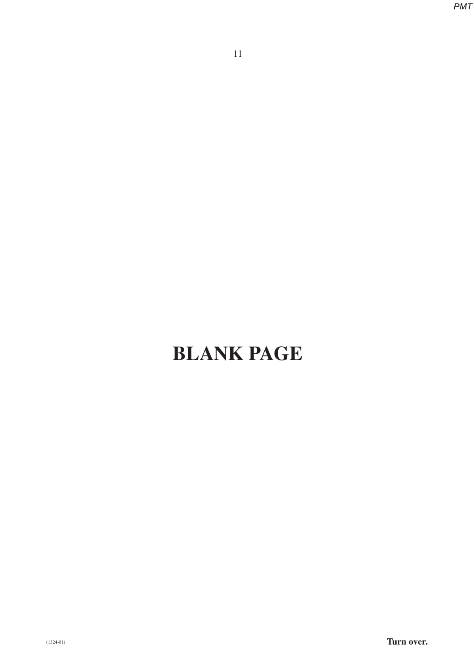## **BLANK PAGE**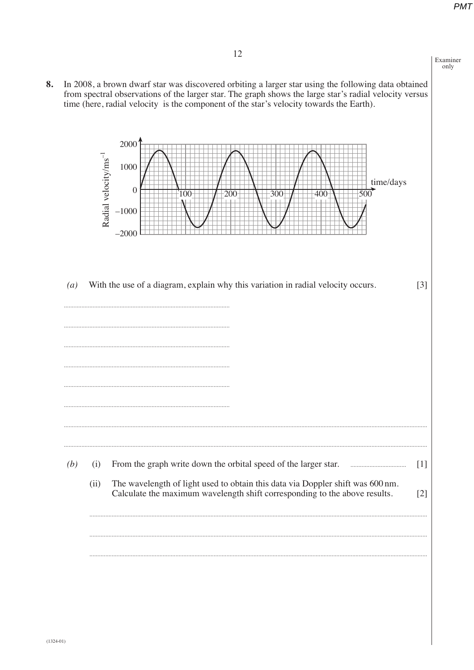Examiner only

8. In 2008, a brown dwarf star was discovered orbiting a larger star using the following data obtained from spectral observations of the larger star. The graph shows the large star's radial velocity versus time (here, radial velocity is the component of the star's velocity towards the Earth).

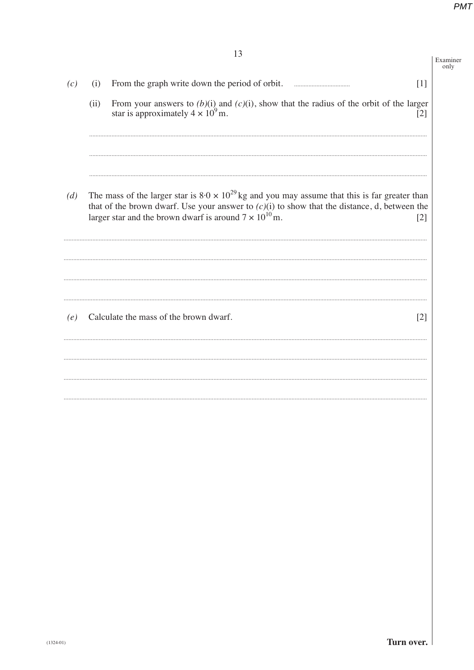Examiner only